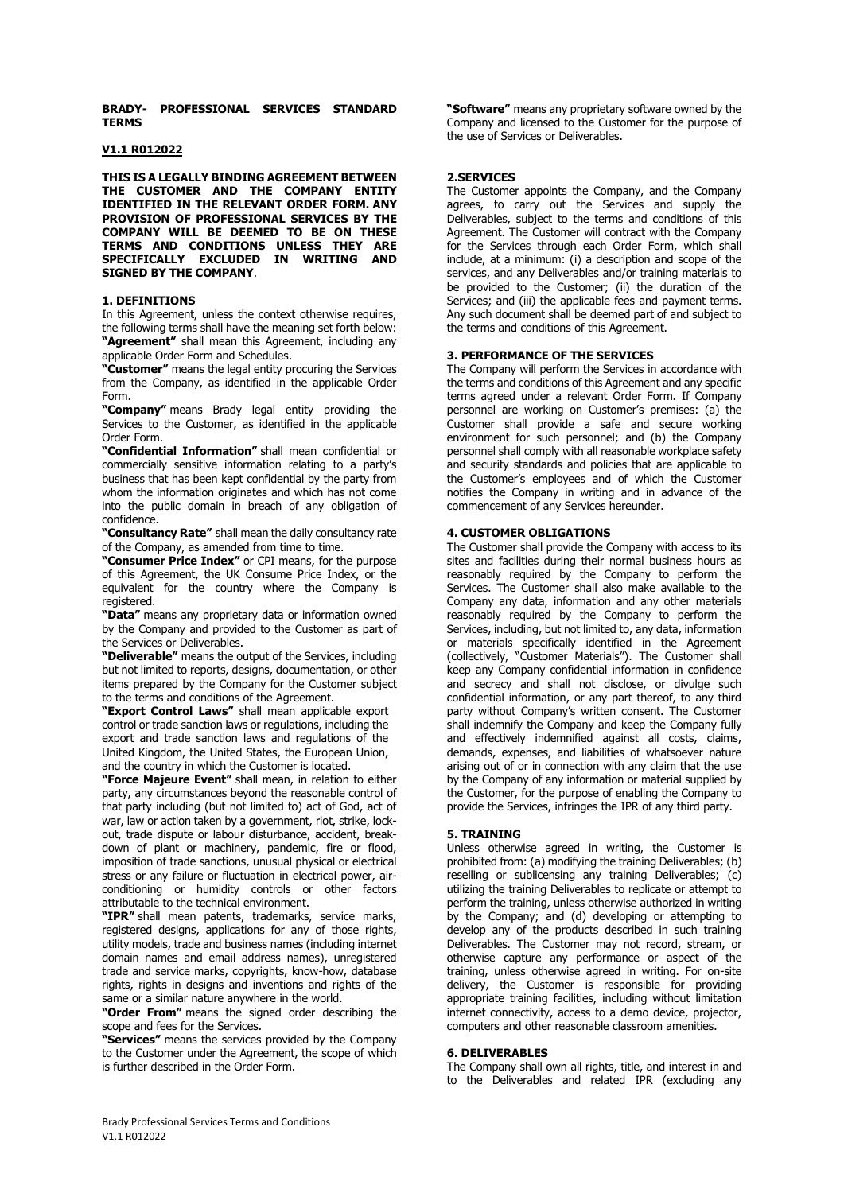**BRADY- PROFESSIONAL SERVICES STANDARD TERMS**

#### **V1.1 R012022**

**THIS IS A LEGALLY BINDING AGREEMENT BETWEEN THE CUSTOMER AND THE COMPANY ENTITY IDENTIFIED IN THE RELEVANT ORDER FORM. ANY PROVISION OF PROFESSIONAL SERVICES BY THE COMPANY WILL BE DEEMED TO BE ON THESE TERMS AND CONDITIONS UNLESS THEY ARE SPECIFICALLY EXCLUDED IN WRITING AND SIGNED BY THE COMPANY**.

#### **1. DEFINITIONS**

In this Agreement, unless the context otherwise requires, the following terms shall have the meaning set forth below: **"Agreement"** shall mean this Agreement, including any applicable Order Form and Schedules.

**"Customer"** means the legal entity procuring the Services from the Company, as identified in the applicable Order Form.

**"Company"** means Brady legal entity providing the Services to the Customer, as identified in the applicable Order Form.

**"Confidential Information"** shall mean confidential or commercially sensitive information relating to a party's business that has been kept confidential by the party from whom the information originates and which has not come into the public domain in breach of any obligation of confidence.

**"Consultancy Rate"** shall mean the daily consultancy rate of the Company, as amended from time to time.

**"Consumer Price Index"** or CPI means, for the purpose of this Agreement, the UK Consume Price Index, or the equivalent for the country where the Company is registered.

**"Data"** means any proprietary data or information owned by the Company and provided to the Customer as part of the Services or Deliverables.

**"Deliverable"** means the output of the Services, including but not limited to reports, designs, documentation, or other items prepared by the Company for the Customer subject to the terms and conditions of the Agreement.

**"Export Control Laws"** shall mean applicable export control or trade sanction laws or regulations, including the export and trade sanction laws and regulations of the United Kingdom, the United States, the European Union, and the country in which the Customer is located.

**"Force Majeure Event"** shall mean, in relation to either party, any circumstances beyond the reasonable control of that party including (but not limited to) act of God, act of war, law or action taken by a government, riot, strike, lockout, trade dispute or labour disturbance, accident, breakdown of plant or machinery, pandemic, fire or flood, imposition of trade sanctions, unusual physical or electrical stress or any failure or fluctuation in electrical power, airconditioning or humidity controls or other factors attributable to the technical environment.

**"IPR"** shall mean patents, trademarks, service marks, registered designs, applications for any of those rights, utility models, trade and business names (including internet domain names and email address names), unregistered trade and service marks, copyrights, know-how, database rights, rights in designs and inventions and rights of the same or a similar nature anywhere in the world.

**"Order From"** means the signed order describing the scope and fees for the Services.

**"Services"** means the services provided by the Company to the Customer under the Agreement, the scope of which is further described in the Order Form.

**"Software"** means any proprietary software owned by the Company and licensed to the Customer for the purpose of the use of Services or Deliverables.

# **2.SERVICES**

The Customer appoints the Company, and the Company agrees, to carry out the Services and supply the Deliverables, subject to the terms and conditions of this Agreement. The Customer will contract with the Company for the Services through each Order Form, which shall include, at a minimum: (i) a description and scope of the services, and any Deliverables and/or training materials to be provided to the Customer; (ii) the duration of the Services; and (iii) the applicable fees and payment terms. Any such document shall be deemed part of and subject to the terms and conditions of this Agreement.

## **3. PERFORMANCE OF THE SERVICES**

The Company will perform the Services in accordance with the terms and conditions of this Agreement and any specific terms agreed under a relevant Order Form. If Company personnel are working on Customer's premises: (a) the Customer shall provide a safe and secure working environment for such personnel; and (b) the Company personnel shall comply with all reasonable workplace safety and security standards and policies that are applicable to the Customer's employees and of which the Customer notifies the Company in writing and in advance of the commencement of any Services hereunder.

## **4. CUSTOMER OBLIGATIONS**

The Customer shall provide the Company with access to its sites and facilities during their normal business hours as reasonably required by the Company to perform the Services. The Customer shall also make available to the Company any data, information and any other materials reasonably required by the Company to perform the Services, including, but not limited to, any data, information or materials specifically identified in the Agreement (collectively, "Customer Materials"). The Customer shall keep any Company confidential information in confidence and secrecy and shall not disclose, or divulge such confidential information, or any part thereof, to any third party without Company's written consent. The Customer shall indemnify the Company and keep the Company fully and effectively indemnified against all costs, claims, demands, expenses, and liabilities of whatsoever nature arising out of or in connection with any claim that the use by the Company of any information or material supplied by the Customer, for the purpose of enabling the Company to provide the Services, infringes the IPR of any third party.

## **5. TRAINING**

Unless otherwise agreed in writing, the Customer is prohibited from: (a) modifying the training Deliverables; (b) reselling or sublicensing any training Deliverables; (c) utilizing the training Deliverables to replicate or attempt to perform the training, unless otherwise authorized in writing by the Company; and (d) developing or attempting to develop any of the products described in such training Deliverables. The Customer may not record, stream, or otherwise capture any performance or aspect of the training, unless otherwise agreed in writing. For on-site delivery, the Customer is responsible for providing appropriate training facilities, including without limitation internet connectivity, access to a demo device, projector, computers and other reasonable classroom amenities.

#### **6. DELIVERABLES**

The Company shall own all rights, title, and interest in and to the Deliverables and related IPR (excluding any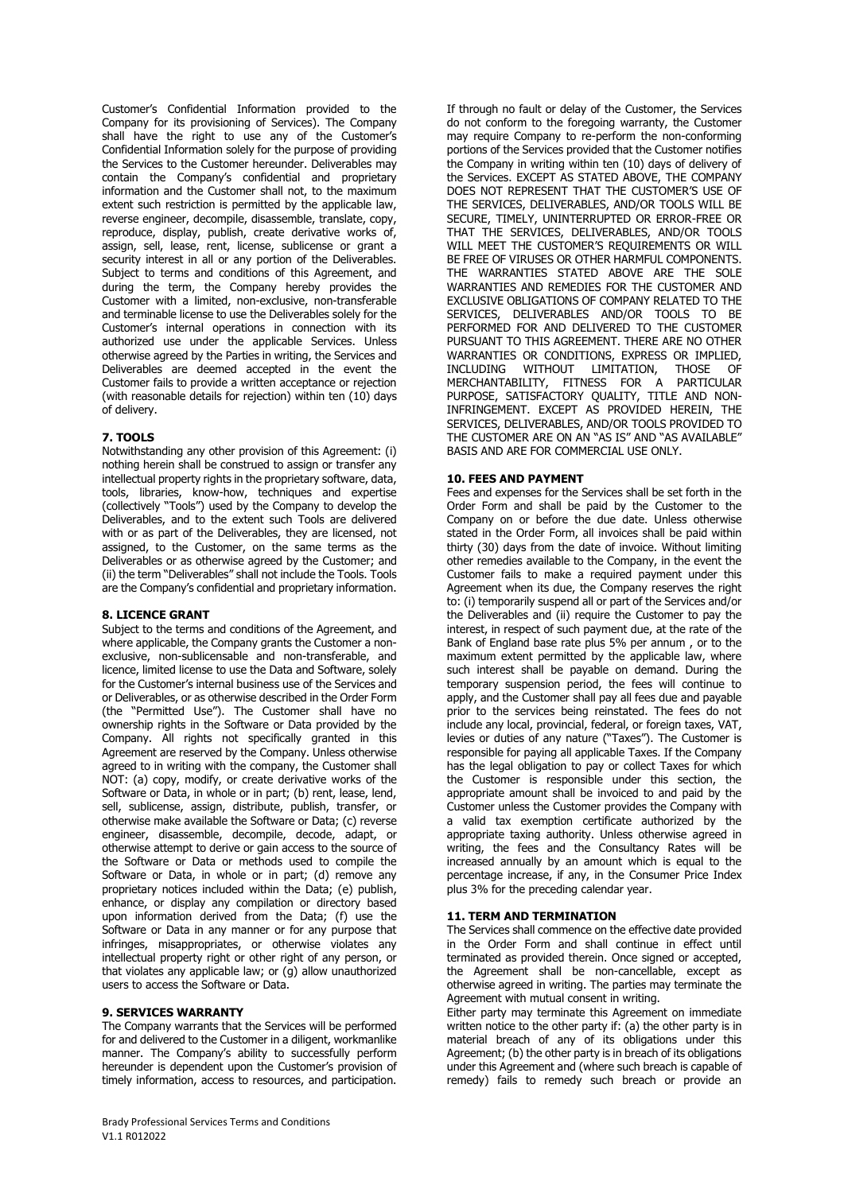Customer's Confidential Information provided to the Company for its provisioning of Services). The Company shall have the right to use any of the Customer's Confidential Information solely for the purpose of providing the Services to the Customer hereunder. Deliverables may contain the Company's confidential and proprietary information and the Customer shall not, to the maximum extent such restriction is permitted by the applicable law, reverse engineer, decompile, disassemble, translate, copy, reproduce, display, publish, create derivative works of, assign, sell, lease, rent, license, sublicense or grant a security interest in all or any portion of the Deliverables. Subject to terms and conditions of this Agreement, and during the term, the Company hereby provides the Customer with a limited, non-exclusive, non-transferable and terminable license to use the Deliverables solely for the Customer's internal operations in connection with its authorized use under the applicable Services. Unless otherwise agreed by the Parties in writing, the Services and Deliverables are deemed accepted in the event the Customer fails to provide a written acceptance or rejection (with reasonable details for rejection) within ten (10) days of delivery.

## **7. TOOLS**

Notwithstanding any other provision of this Agreement: (i) nothing herein shall be construed to assign or transfer any intellectual property rights in the proprietary software, data, tools, libraries, know-how, techniques and expertise (collectively "Tools") used by the Company to develop the Deliverables, and to the extent such Tools are delivered with or as part of the Deliverables, they are licensed, not assigned, to the Customer, on the same terms as the Deliverables or as otherwise agreed by the Customer; and (ii) the term "Deliverables" shall not include the Tools. Tools are the Company's confidential and proprietary information.

## **8. LICENCE GRANT**

Subject to the terms and conditions of the Agreement, and where applicable, the Company grants the Customer a nonexclusive, non-sublicensable and non-transferable, and licence, limited license to use the Data and Software, solely for the Customer's internal business use of the Services and or Deliverables, or as otherwise described in the Order Form (the "Permitted Use"). The Customer shall have no ownership rights in the Software or Data provided by the Company. All rights not specifically granted in this Agreement are reserved by the Company. Unless otherwise agreed to in writing with the company, the Customer shall NOT: (a) copy, modify, or create derivative works of the Software or Data, in whole or in part; (b) rent, lease, lend, sell, sublicense, assign, distribute, publish, transfer, or otherwise make available the Software or Data; (c) reverse engineer, disassemble, decompile, decode, adapt, or otherwise attempt to derive or gain access to the source of the Software or Data or methods used to compile the Software or Data, in whole or in part; (d) remove any proprietary notices included within the Data; (e) publish, enhance, or display any compilation or directory based upon information derived from the Data; (f) use the Software or Data in any manner or for any purpose that infringes, misappropriates, or otherwise violates any intellectual property right or other right of any person, or that violates any applicable law; or (g) allow unauthorized users to access the Software or Data.

## **9. SERVICES WARRANTY**

The Company warrants that the Services will be performed for and delivered to the Customer in a diligent, workmanlike manner. The Company's ability to successfully perform hereunder is dependent upon the Customer's provision of timely information, access to resources, and participation.

If through no fault or delay of the Customer, the Services do not conform to the foregoing warranty, the Customer may require Company to re-perform the non-conforming portions of the Services provided that the Customer notifies the Company in writing within ten (10) days of delivery of the Services. EXCEPT AS STATED ABOVE, THE COMPANY DOES NOT REPRESENT THAT THE CUSTOMER'S USE OF THE SERVICES, DELIVERABLES, AND/OR TOOLS WILL BE SECURE, TIMELY, UNINTERRUPTED OR ERROR-FREE OR THAT THE SERVICES, DELIVERABLES, AND/OR TOOLS WILL MEET THE CUSTOMER'S REQUIREMENTS OR WILL BE FREE OF VIRUSES OR OTHER HARMFUL COMPONENTS. THE WARRANTIES STATED ABOVE ARE THE SOLE WARRANTIES AND REMEDIES FOR THE CUSTOMER AND EXCLUSIVE OBLIGATIONS OF COMPANY RELATED TO THE SERVICES, DELIVERABLES AND/OR TOOLS TO BE PERFORMED FOR AND DELIVERED TO THE CUSTOMER PURSUANT TO THIS AGREEMENT. THERE ARE NO OTHER WARRANTIES OR CONDITIONS, EXPRESS OR IMPLIED. INCLUDING WITHOUT LIMITATION, THOSE OF MERCHANTABILITY, FITNESS FOR A PARTICULAR PURPOSE, SATISFACTORY QUALITY, TITLE AND NON-INFRINGEMENT. EXCEPT AS PROVIDED HEREIN, THE SERVICES, DELIVERABLES, AND/OR TOOLS PROVIDED TO THE CUSTOMER ARE ON AN "AS IS" AND "AS AVAILABLE" BASIS AND ARE FOR COMMERCIAL USE ONLY.

## **10. FEES AND PAYMENT**

Fees and expenses for the Services shall be set forth in the Order Form and shall be paid by the Customer to the Company on or before the due date. Unless otherwise stated in the Order Form, all invoices shall be paid within thirty (30) days from the date of invoice. Without limiting other remedies available to the Company, in the event the Customer fails to make a required payment under this Agreement when its due, the Company reserves the right to: (i) temporarily suspend all or part of the Services and/or the Deliverables and (ii) require the Customer to pay the interest, in respect of such payment due, at the rate of the Bank of England base rate plus 5% per annum , or to the maximum extent permitted by the applicable law, where such interest shall be payable on demand. During the temporary suspension period, the fees will continue to apply, and the Customer shall pay all fees due and payable prior to the services being reinstated. The fees do not include any local, provincial, federal, or foreign taxes, VAT, levies or duties of any nature ("Taxes"). The Customer is responsible for paying all applicable Taxes. If the Company has the legal obligation to pay or collect Taxes for which the Customer is responsible under this section, the appropriate amount shall be invoiced to and paid by the Customer unless the Customer provides the Company with a valid tax exemption certificate authorized by the appropriate taxing authority. Unless otherwise agreed in writing, the fees and the Consultancy Rates will be increased annually by an amount which is equal to the percentage increase, if any, in the Consumer Price Index plus 3% for the preceding calendar year.

## **11. TERM AND TERMINATION**

The Services shall commence on the effective date provided in the Order Form and shall continue in effect until terminated as provided therein. Once signed or accepted, the Agreement shall be non-cancellable, except as otherwise agreed in writing. The parties may terminate the Agreement with mutual consent in writing.

Either party may terminate this Agreement on immediate written notice to the other party if: (a) the other party is in material breach of any of its obligations under this Agreement; (b) the other party is in breach of its obligations under this Agreement and (where such breach is capable of remedy) fails to remedy such breach or provide an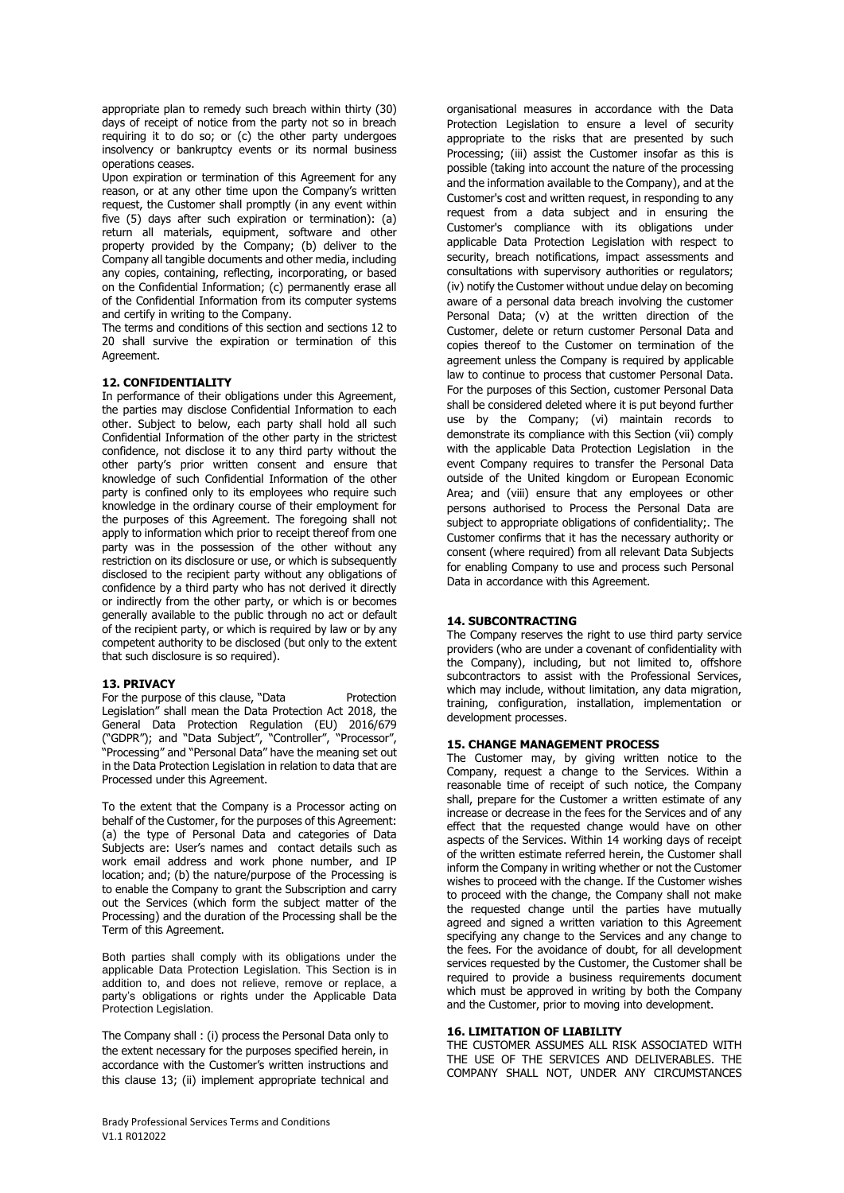appropriate plan to remedy such breach within thirty (30) days of receipt of notice from the party not so in breach requiring it to do so; or (c) the other party undergoes insolvency or bankruptcy events or its normal business operations ceases.

Upon expiration or termination of this Agreement for any reason, or at any other time upon the Company's written request, the Customer shall promptly (in any event within five (5) days after such expiration or termination): (a) return all materials, equipment, software and other property provided by the Company; (b) deliver to the Company all tangible documents and other media, including any copies, containing, reflecting, incorporating, or based on the Confidential Information; (c) permanently erase all of the Confidential Information from its computer systems and certify in writing to the Company.

The terms and conditions of this section and sections 12 to 20 shall survive the expiration or termination of this **Agreement** 

## **12. CONFIDENTIALITY**

In performance of their obligations under this Agreement, the parties may disclose Confidential Information to each other. Subject to below, each party shall hold all such Confidential Information of the other party in the strictest confidence, not disclose it to any third party without the other party's prior written consent and ensure that knowledge of such Confidential Information of the other party is confined only to its employees who require such knowledge in the ordinary course of their employment for the purposes of this Agreement. The foregoing shall not apply to information which prior to receipt thereof from one party was in the possession of the other without any restriction on its disclosure or use, or which is subsequently disclosed to the recipient party without any obligations of confidence by a third party who has not derived it directly or indirectly from the other party, or which is or becomes generally available to the public through no act or default of the recipient party, or which is required by law or by any competent authority to be disclosed (but only to the extent that such disclosure is so required).

#### **13. PRIVACY**

For the purpose of this clause, "Data Protection Legislation" shall mean the Data Protection Act 2018, the General Data Protection Regulation (EU) 2016/679 ("GDPR"); and "Data Subject", "Controller", "Processor", "Processing" and "Personal Data" have the meaning set out in the Data Protection Legislation in relation to data that are Processed under this Agreement.

To the extent that the Company is a Processor acting on behalf of the Customer, for the purposes of this Agreement: (a) the type of Personal Data and categories of Data Subjects are: User's names and contact details such as work email address and work phone number, and IP location; and; (b) the nature/purpose of the Processing is to enable the Company to grant the Subscription and carry out the Services (which form the subject matter of the Processing) and the duration of the Processing shall be the Term of this Agreement.

Both parties shall comply with its obligations under the applicable Data Protection Legislation. This Section is in addition to, and does not relieve, remove or replace, a party's obligations or rights under the Applicable Data Protection Legislation.

The Company shall : (i) process the Personal Data only to the extent necessary for the purposes specified herein, in accordance with the Customer's written instructions and this clause 13; (ii) implement appropriate technical and organisational measures in accordance with the Data Protection Legislation to ensure a level of security appropriate to the risks that are presented by such Processing; (iii) assist the Customer insofar as this is possible (taking into account the nature of the processing and the information available to the Company), and at the Customer's cost and written request, in responding to any request from a data subject and in ensuring the Customer's compliance with its obligations under applicable Data Protection Legislation with respect to security, breach notifications, impact assessments and consultations with supervisory authorities or regulators; (iv) notify the Customer without undue delay on becoming aware of a personal data breach involving the customer Personal Data; (v) at the written direction of the Customer, delete or return customer Personal Data and copies thereof to the Customer on termination of the agreement unless the Company is required by applicable law to continue to process that customer Personal Data. For the purposes of this Section, customer Personal Data shall be considered deleted where it is put beyond further use by the Company; (vi) maintain records to demonstrate its compliance with this Section (vii) comply with the applicable Data Protection Legislation in the event Company requires to transfer the Personal Data outside of the United kingdom or European Economic Area; and (viii) ensure that any employees or other persons authorised to Process the Personal Data are subject to appropriate obligations of confidentiality;. The Customer confirms that it has the necessary authority or consent (where required) from all relevant Data Subjects for enabling Company to use and process such Personal Data in accordance with this Agreement.

## **14. SUBCONTRACTING**

The Company reserves the right to use third party service providers (who are under a covenant of confidentiality with the Company), including, but not limited to, offshore subcontractors to assist with the Professional Services, which may include, without limitation, any data migration, training, configuration, installation, implementation or development processes.

#### **15. CHANGE MANAGEMENT PROCESS**

The Customer may, by giving written notice to the Company, request a change to the Services. Within a reasonable time of receipt of such notice, the Company shall, prepare for the Customer a written estimate of any increase or decrease in the fees for the Services and of any effect that the requested change would have on other aspects of the Services. Within 14 working days of receipt of the written estimate referred herein, the Customer shall inform the Company in writing whether or not the Customer wishes to proceed with the change. If the Customer wishes to proceed with the change, the Company shall not make the requested change until the parties have mutually agreed and signed a written variation to this Agreement specifying any change to the Services and any change to the fees. For the avoidance of doubt, for all development services requested by the Customer, the Customer shall be required to provide a business requirements document which must be approved in writing by both the Company and the Customer, prior to moving into development.

#### **16. LIMITATION OF LIABILITY**

THE CUSTOMER ASSUMES ALL RISK ASSOCIATED WITH THE USE OF THE SERVICES AND DELIVERABLES. THE COMPANY SHALL NOT, UNDER ANY CIRCUMSTANCES